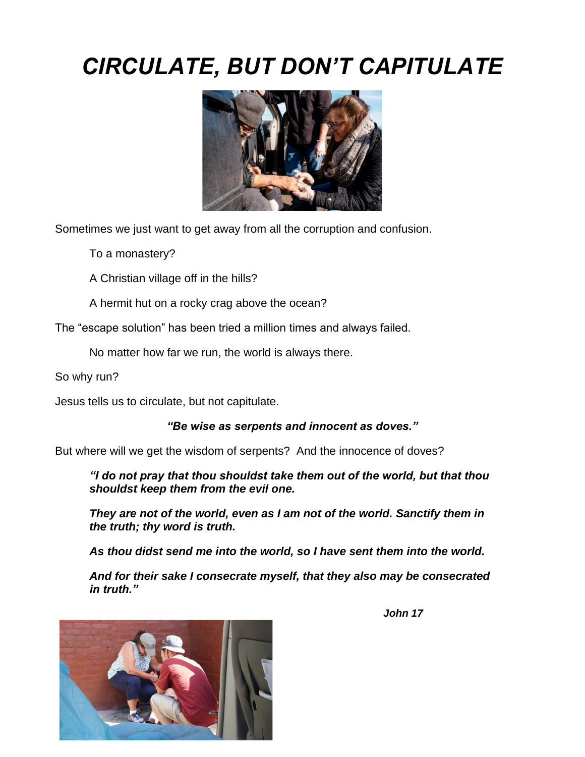# *CIRCULATE, BUT DON'T CAPITULATE*



Sometimes we just want to get away from all the corruption and confusion.

To a monastery?

A Christian village off in the hills?

A hermit hut on a rocky crag above the ocean?

The "escape solution" has been tried a million times and always failed.

No matter how far we run, the world is always there.

So why run?

Jesus tells us to circulate, but not capitulate.

#### *"Be wise as serpents and innocent as doves."*

But where will we get the wisdom of serpents? And the innocence of doves?

*"I do not pray that thou shouldst take them out of the world, but that thou shouldst keep them from the evil one.*

*They are not of the world, even as I am not of the world. Sanctify them in the truth; thy word is truth.*

*As thou didst send me into the world, so I have sent them into the world.*

*And for their sake I consecrate myself, that they also may be consecrated in truth."*



 *John 17*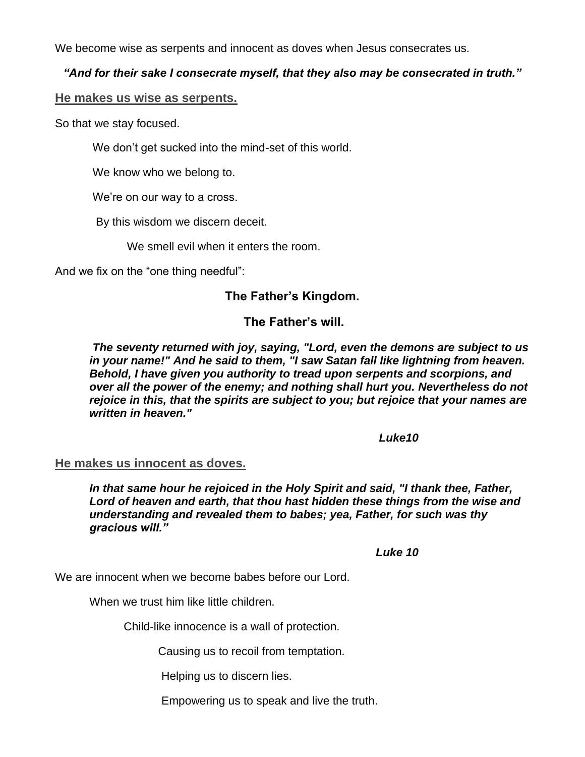We become wise as serpents and innocent as doves when Jesus consecrates us.

### *"And for their sake I consecrate myself, that they also may be consecrated in truth."*

#### **He makes us wise as serpents.**

So that we stay focused.

We don't get sucked into the mind-set of this world.

We know who we belong to.

We're on our way to a cross.

By this wisdom we discern deceit.

We smell evil when it enters the room.

And we fix on the "one thing needful":

# **The Father's Kingdom.**

# **The Father's will.**

*The seventy returned with joy, saying, "Lord, even the demons are subject to us in your name!" And he said to them, "I saw Satan fall like lightning from heaven. Behold, I have given you authority to tread upon serpents and scorpions, and over all the power of the enemy; and nothing shall hurt you. Nevertheless do not rejoice in this, that the spirits are subject to you; but rejoice that your names are written in heaven."*

 *Luke10*

#### **He makes us innocent as doves.**

*In that same hour he rejoiced in the Holy Spirit and said, "I thank thee, Father, Lord of heaven and earth, that thou hast hidden these things from the wise and understanding and revealed them to babes; yea, Father, for such was thy gracious will."*

 *Luke 10*

We are innocent when we become babes before our Lord.

When we trust him like little children.

Child-like innocence is a wall of protection.

Causing us to recoil from temptation.

Helping us to discern lies.

Empowering us to speak and live the truth.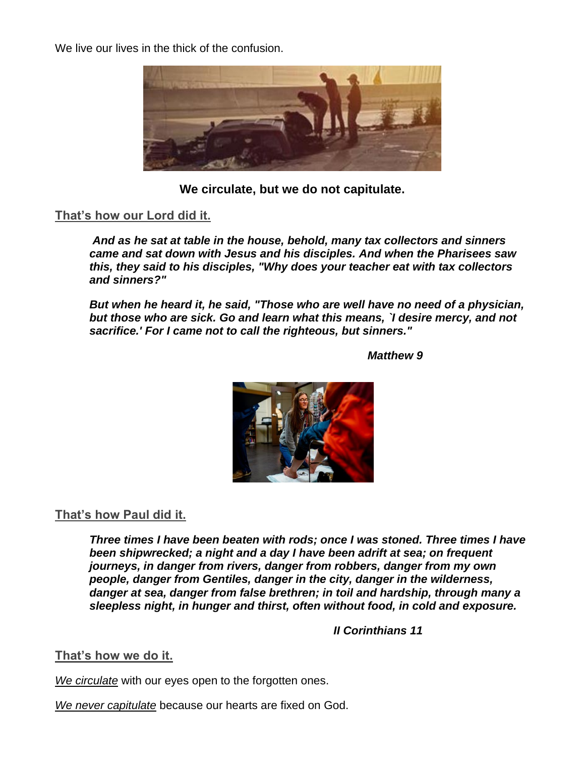We live our lives in the thick of the confusion.



**We circulate, but we do not capitulate.**

## **That's how our Lord did it.**

*And as he sat at table in the house, behold, many tax collectors and sinners came and sat down with Jesus and his disciples. And when the Pharisees saw this, they said to his disciples, "Why does your teacher eat with tax collectors and sinners?"*

*But when he heard it, he said, "Those who are well have no need of a physician, but those who are sick. Go and learn what this means, `I desire mercy, and not sacrifice.' For I came not to call the righteous, but sinners."*

 *Matthew 9*



# **That's how Paul did it.**

*Three times I have been beaten with rods; once I was stoned. Three times I have been shipwrecked; a night and a day I have been adrift at sea; on frequent journeys, in danger from rivers, danger from robbers, danger from my own people, danger from Gentiles, danger in the city, danger in the wilderness, danger at sea, danger from false brethren; in toil and hardship, through many a sleepless night, in hunger and thirst, often without food, in cold and exposure.*

 *II Corinthians 11*

## **That's how we do it.**

*We circulate* with our eyes open to the forgotten ones.

*We never capitulate* because our hearts are fixed on God.